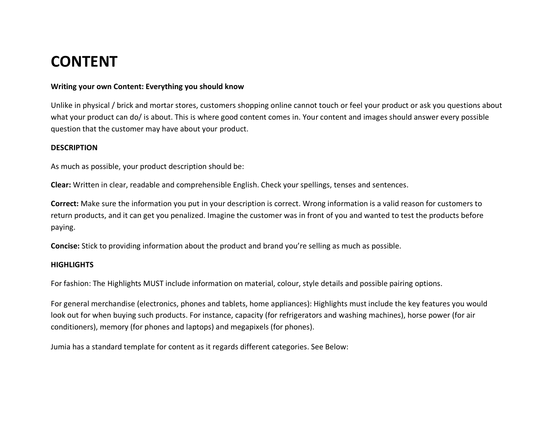# **CONTENT**

### **Writing your own Content: Everything you should know**

Unlike in physical / brick and mortar stores, customers shopping online cannot touch or feel your product or ask you questions about what your product can do/ is about. This is where good content comes in. Your content and images should answer every possible question that the customer may have about your product.

### **DESCRIPTION**

As much as possible, your product description should be:

**Clear:** Written in clear, readable and comprehensible English. Check your spellings, tenses and sentences.

**Correct:** Make sure the information you put in your description is correct. Wrong information is a valid reason for customers to return products, and it can get you penalized. Imagine the customer was in front of you and wanted to test the products before paying.

**Concise:** Stick to providing information about the product and brand you're selling as much as possible.

#### **HIGHLIGHTS**

For fashion: The Highlights MUST include information on material, colour, style details and possible pairing options.

For general merchandise (electronics, phones and tablets, home appliances): Highlights must include the key features you would look out for when buying such products. For instance, capacity (for refrigerators and washing machines), horse power (for air conditioners), memory (for phones and laptops) and megapixels (for phones).

Jumia has a standard template for content as it regards different categories. See Below: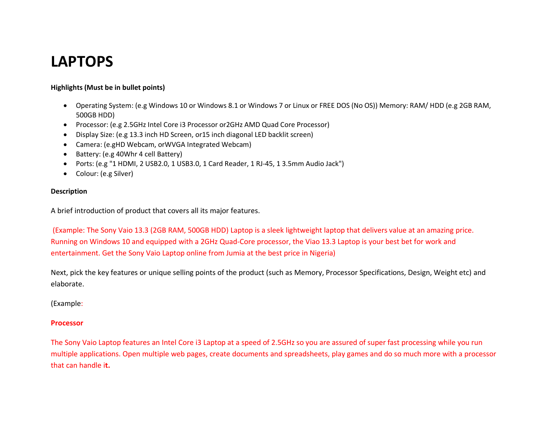# **LAPTOPS**

### **Highlights (Must be in bullet points)**

- Operating System: (e.g Windows 10 or Windows 8.1 or Windows 7 or Linux or FREE DOS (No OS)) Memory: RAM/ HDD (e.g 2GB RAM, 500GB HDD)
- Processor: (e.g 2.5GHz Intel Core i3 Processor or2GHz AMD Quad Core Processor)
- Display Size: (e.g 13.3 inch HD Screen, or15 inch diagonal LED backlit screen)
- Camera: (e.gHD Webcam, orWVGA Integrated Webcam)
- Battery: (e.g 40Whr 4 cell Battery)
- Ports: (e.g "1 HDMI, 2 USB2.0, 1 USB3.0, 1 Card Reader, 1 RJ-45, 1 3.5mm Audio Jack")
- Colour: (e.g Silver)

### **Description**

A brief introduction of product that covers all its major features.

(Example: The Sony Vaio 13.3 (2GB RAM, 500GB HDD) Laptop is a sleek lightweight laptop that delivers value at an amazing price. Running on Windows 10 and equipped with a 2GHz Quad-Core processor, the Viao 13.3 Laptop is your best bet for work and entertainment. Get the Sony Vaio Laptop online from Jumia at the best price in Nigeria)

Next, pick the key features or unique selling points of the product (such as Memory, Processor Specifications, Design, Weight etc) and elaborate.

(Example:

### **Processor**

The Sony Vaio Laptop features an Intel Core i3 Laptop at a speed of 2.5GHz so you are assured of super fast processing while you run multiple applications. Open multiple web pages, create documents and spreadsheets, play games and do so much more with a processor that can handle i**t.**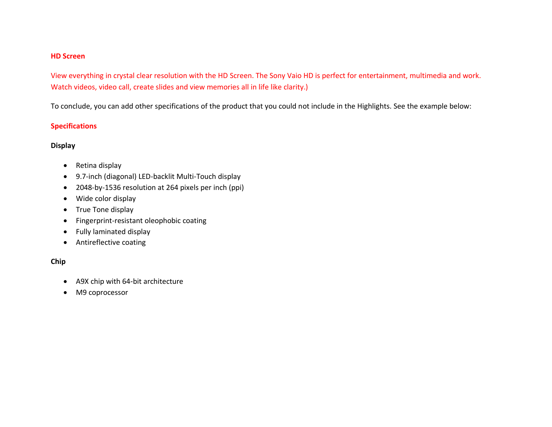### **HD Screen**

View everything in crystal clear resolution with the HD Screen. The Sony Vaio HD is perfect for entertainment, multimedia and work. Watch videos, video call, create slides and view memories all in life like clarity.)

To conclude, you can add other specifications of the product that you could not include in the Highlights. See the example below:

### **Specifications**

### **Display**

- Retina display
- 9.7-inch (diagonal) LED-backlit Multi-Touch display
- 2048-by-1536 resolution at 264 pixels per inch (ppi)
- Wide color display
- True Tone display
- Fingerprint-resistant oleophobic coating
- Fully laminated display
- Antireflective coating

### **Chip**

- A9X chip with 64-bit architecture
- M9 coprocessor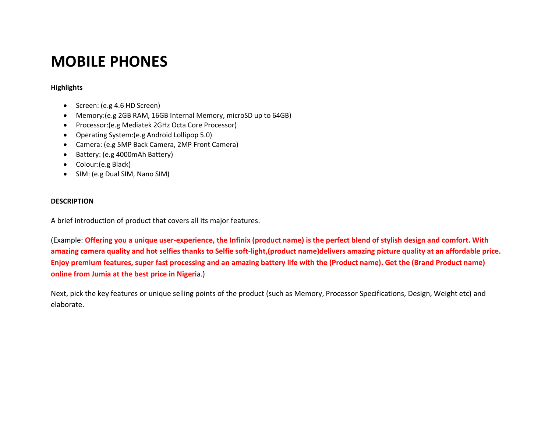# **MOBILE PHONES**

### **Highlights**

- Screen: (e.g 4.6 HD Screen)
- Memory:(e.g 2GB RAM, 16GB Internal Memory, microSD up to 64GB)
- Processor:(e.g Mediatek 2GHz Octa Core Processor)
- Operating System:(e.g Android Lollipop 5.0)
- Camera: (e.g 5MP Back Camera, 2MP Front Camera)
- Battery: (e.g 4000mAh Battery)
- Colour:(e.g Black)
- SIM: (e.g Dual SIM, Nano SIM)

### **DESCRIPTION**

A brief introduction of product that covers all its major features.

(Example: **Offering you a unique user-experience, the Infinix (product name) is the perfect blend of stylish design and comfort. With amazing camera quality and hot selfies thanks to Selfie soft-light,(product name)delivers amazing picture quality at an affordable price. Enjoy premium features, super fast processing and an amazing battery life with the (Product name). Get the (Brand Product name) online from Jumia at the best price in Nigeri**a.)

Next, pick the key features or unique selling points of the product (such as Memory, Processor Specifications, Design, Weight etc) and elaborate.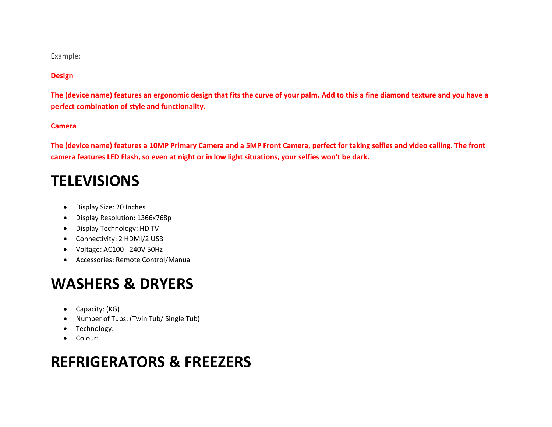Example:

### **Design**

**The (device name) features an ergonomic design that fits the curve of your palm. Add to this a fine diamond texture and you have a perfect combination of style and functionality.** 

### **Camera**

**The (device name) features a 10MP Primary Camera and a 5MP Front Camera, perfect for taking selfies and video calling. The front camera features LED Flash, so even at night or in low light situations, your selfies won't be dark.**

## **TELEVISIONS**

- Display Size: 20 Inches
- Display Resolution: 1366x768p
- Display Technology: HD TV
- Connectivity: 2 HDMI/2 USB
- Voltage: AC100 240V 50Hz
- Accessories: Remote Control/Manual

## **WASHERS & DRYERS**

- Capacity: (KG)
- Number of Tubs: (Twin Tub/ Single Tub)
- Technology:
- Colour:

## **REFRIGERATORS & FREEZERS**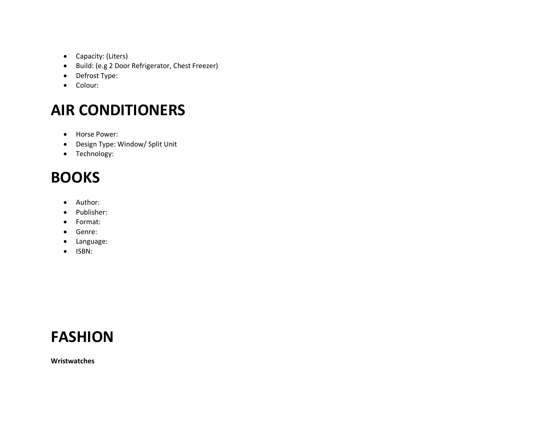- Capacity: (Liters)
- Build: (e.g 2 Door Refrigerator, Chest Freezer)
- Defrost Type:
- Colour:

# **AIR CONDITIONERS**

- Horse Power:
- Design Type: Window/ Split Unit
- Technology:

# **BOOKS**

- Author:
- Publisher:
- Format:
- Genre:
- Language:
- ISBN:

# **FASHION**

**Wristwatches**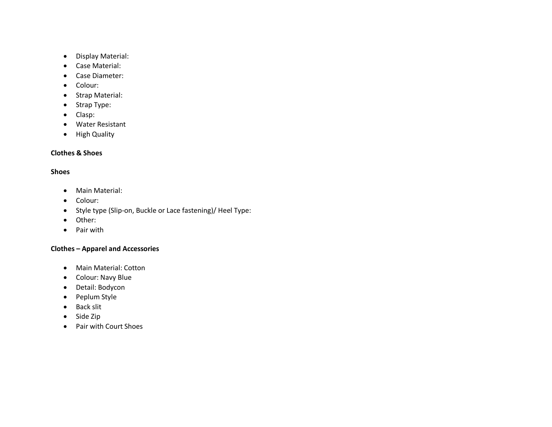- Display Material:
- Case Material:
- Case Diameter:
- Colour:
- Strap Material:
- Strap Type:
- Clasp:
- Water Resistant
- High Quality

### **Clothes & Shoes**

### **Shoes**

- Main Material:
- Colour:
- Style type (Slip-on, Buckle or Lace fastening)/ Heel Type:
- Other:
- Pair with

### **Clothes – Apparel and Accessories**

- Main Material: Cotton
- Colour: Navy Blue
- Detail: Bodycon
- Peplum Style
- Back slit
- Side Zip
- Pair with Court Shoes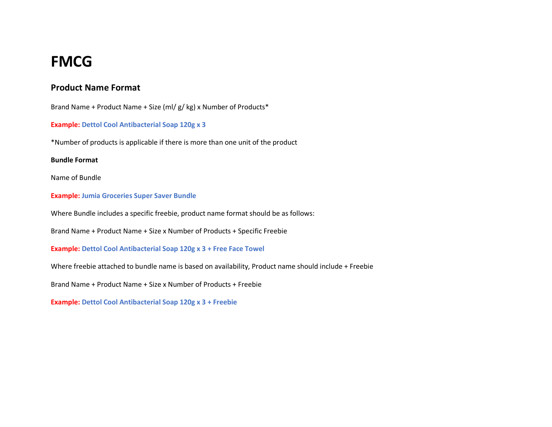## **FMCG**

## **Product Name Format**

Brand Name + Product Name + Size (ml/ g/ kg) x Number of Products\*

**Example: Dettol Cool Antibacterial Soap 120g x 3**

\*Number of products is applicable if there is more than one unit of the product

### **Bundle Format**

Name of Bundle

**Example: Jumia Groceries Super Saver Bundle**

Where Bundle includes a specific freebie, product name format should be as follows:

Brand Name + Product Name + Size x Number of Products + Specific Freebie

**Example: Dettol Cool Antibacterial Soap 120g x 3 + Free Face Towel**

Where freebie attached to bundle name is based on availability, Product name should include + Freebie

Brand Name + Product Name + Size x Number of Products + Freebie

**Example: Dettol Cool Antibacterial Soap 120g x 3 + Freebie**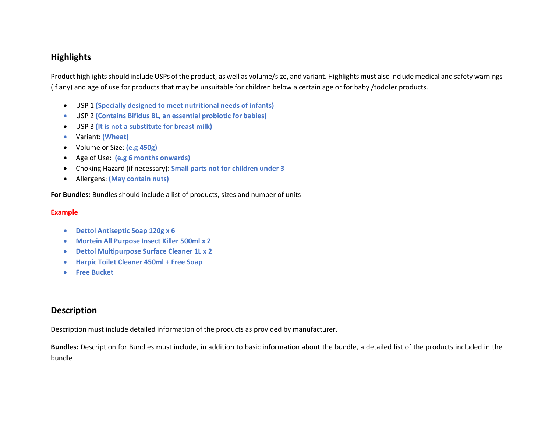## **Highlights**

Product highlights should include USPs of the product, as well as volume/size, and variant. Highlights must also include medical and safety warnings (if any) and age of use for products that may be unsuitable for children below a certain age or for baby /toddler products.

- USP 1 **(Specially designed to meet nutritional needs of infants)**
- USP 2 **(Contains Bifidus BL, an essential probiotic for babies)**
- USP 3 **(It is not a substitute for breast milk)**
- Variant: **(Wheat)**
- Volume or Size: **(e.g 450g)**
- Age of Use: **(e.g 6 months onwards)**
- Choking Hazard (if necessary): **Small parts not for children under 3**
- Allergens: **(May contain nuts)**

**For Bundles:** Bundles should include a list of products, sizes and number of units

### **Example**

- **Dettol Antiseptic Soap 120g x 6**
- **Mortein All Purpose Insect Killer 500ml x 2**
- **Dettol Multipurpose Surface Cleaner 1L x 2**
- **Harpic Toilet Cleaner 450ml + Free Soap**
- **Free Bucket**

### **Description**

Description must include detailed information of the products as provided by manufacturer.

**Bundles:** Description for Bundles must include, in addition to basic information about the bundle, a detailed list of the products included in the bundle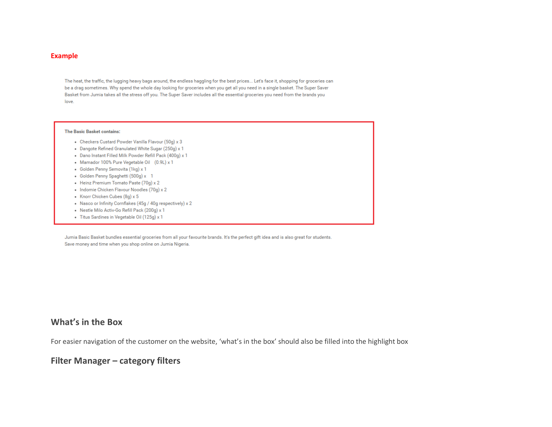#### **Example**

The heat, the traffic, the lugging heavy bags around, the endless haggling for the best prices... Let's face it, shopping for groceries can be a drag sometimes. Why spend the whole day looking for groceries when you get all you need in a single basket. The Super Saver Basket from Jumia takes all the stress off you. The Super Saver includes all the essential groceries you need from the brands you love.

#### **The Basic Basket contains:**

- Checkers Custard Powder Vanilla Flavour (50g) x 3
- . Dangote Refined Granulated White Sugar (250g) x 1
- . Dano Instant Filled Milk Powder Refill Pack (400g) x 1
- Mamador 100% Pure Vegetable Oil (0.9L) x 1
- · Golden Penny Semovita (1kg) x 1
- · Golden Penny Spaghetti (500g) x 1
- · Heinz Premium Tomato Paste (70g) x 2
- . Indomie Chicken Flavour Noodles (70g) x 2
- Knorr Chicken Cubes (8g) x 5
- . Nasco or Infinity Cornflakes (45g / 40g respectively) x 2
- . Nestle Milo Activ-Go Refill Pack (200g) x 1
- · Titus Sardines in Vegetable Oil (125g) x 1

Jumia Basic Basket bundles essential groceries from all your favourite brands. It's the perfect gift idea and is also great for students. Save money and time when you shop online on Jumia Nigeria.

### **What's in the Box**

For easier navigation of the customer on the website, 'what's in the box' should also be filled into the highlight box

### **Filter Manager – category filters**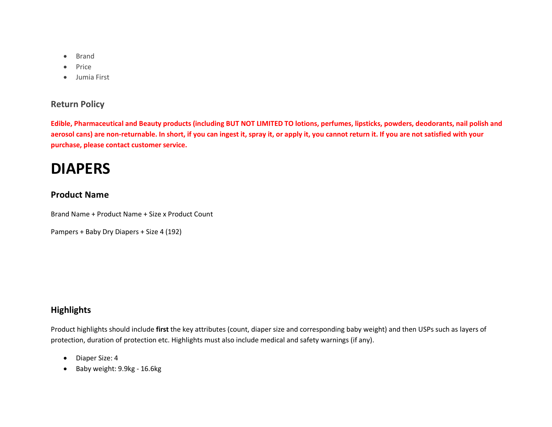- Brand
- Price
- Jumia First

## **Return Policy**

**Edible, Pharmaceutical and Beauty products (including BUT NOT LIMITED TO lotions, perfumes, lipsticks, powders, deodorants, nail polish and aerosol cans) are non-returnable. In short, if you can ingest it, spray it, or apply it, you cannot return it. If you are not satisfied with your purchase, please contact customer service.**

## **DIAPERS**

## **Product Name**

Brand Name + Product Name + Size x Product Count

Pampers + Baby Dry Diapers + Size 4 (192)

## **Highlights**

Product highlights should include **first** the key attributes (count, diaper size and corresponding baby weight) and then USPs such as layers of protection, duration of protection etc. Highlights must also include medical and safety warnings (if any).

- Diaper Size: 4
- Baby weight: 9.9kg 16.6kg